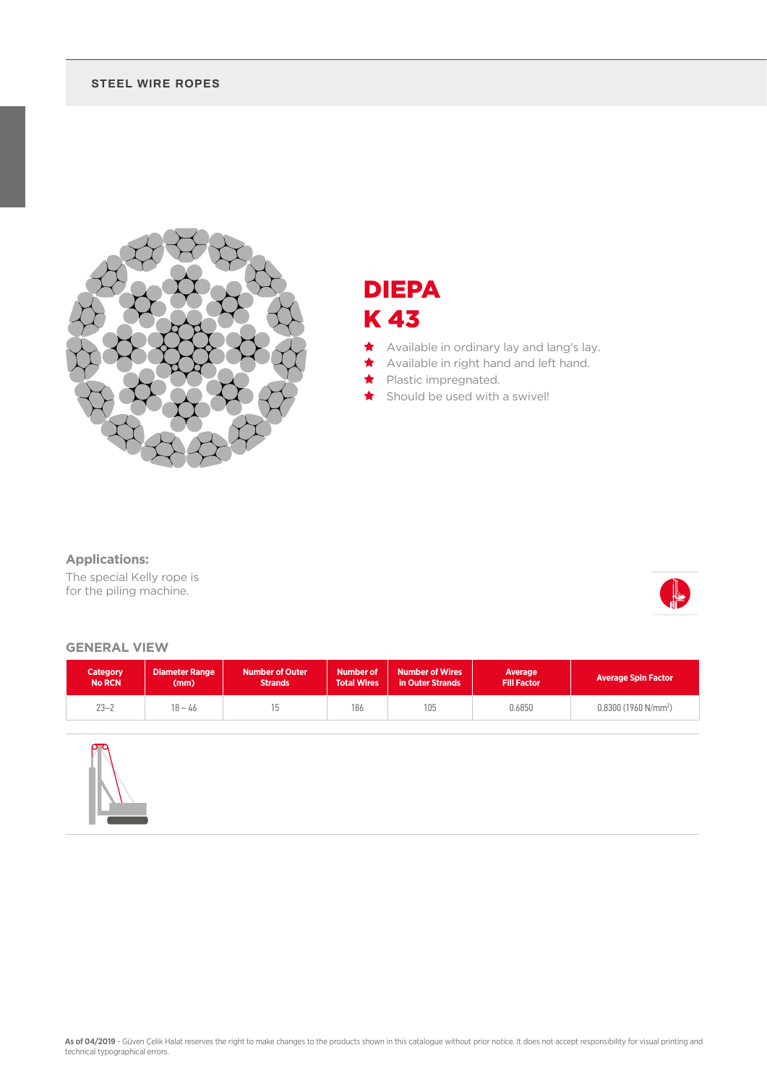### **STEEL WIRE ROPES**



## DIEPA K 43

- ★ Available in ordinary lay and lang's lay.
- ★ Available in right hand and left hand.
	- Plastic impregnated.
	- Should be used with a swivel!

### **Applications:**

The special Kelly rope is for the piling machine.



#### **GENERAL VIEW**

| <b>Category</b><br><b>No RCN</b> | <b>Diameter Range</b><br>(mm) | <b>Number of Outer</b><br><b>Strands</b> | <b>Number of</b><br><b>Number of Wires</b><br><b>Total Wires</b><br>in Outer Strands |     | Average<br><b>Fill Factor</b> | <b>Average Spin Factor</b> |  |
|----------------------------------|-------------------------------|------------------------------------------|--------------------------------------------------------------------------------------|-----|-------------------------------|----------------------------|--|
| $23 - 2$                         | $18 - 46$                     |                                          | 186                                                                                  | 105 | 0.6850                        | $0.8300(1960 N/mm^2)$      |  |